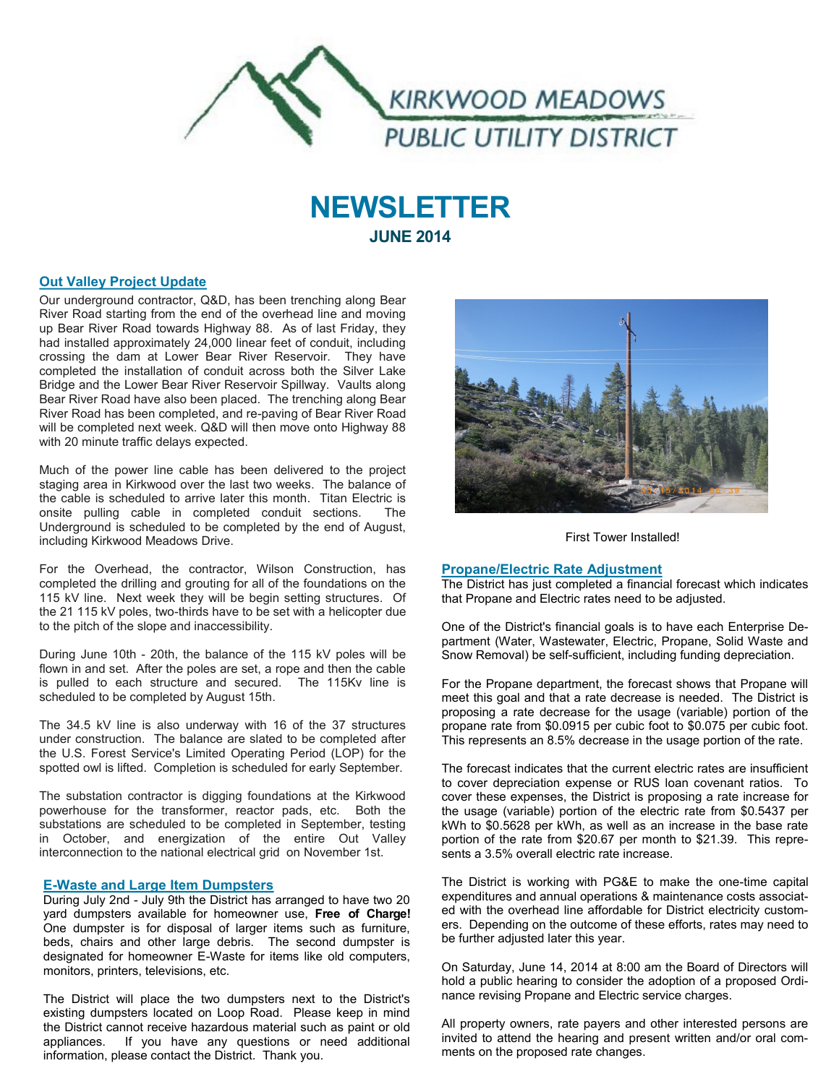

# **NEWSLETTER JUNE 2014**

# **Out Valley Project Update**

Our underground contractor, Q&D, has been trenching along Bear River Road starting from the end of the overhead line and moving up Bear River Road towards Highway 88. As of last Friday, they had installed approximately 24,000 linear feet of conduit, including crossing the dam at Lower Bear River Reservoir. They have completed the installation of conduit across both the Silver Lake Bridge and the Lower Bear River Reservoir Spillway. Vaults along Bear River Road have also been placed. The trenching along Bear River Road has been completed, and re-paving of Bear River Road will be completed next week. Q&D will then move onto Highway 88 with 20 minute traffic delays expected.

Much of the power line cable has been delivered to the project staging area in Kirkwood over the last two weeks. The balance of the cable is scheduled to arrive later this month. Titan Electric is onsite pulling cable in completed conduit sections. The Underground is scheduled to be completed by the end of August, including Kirkwood Meadows Drive.

For the Overhead, the contractor, Wilson Construction, has completed the drilling and grouting for all of the foundations on the 115 kV line. Next week they will be begin setting structures. Of the 21 115 kV poles, two-thirds have to be set with a helicopter due to the pitch of the slope and inaccessibility.

During June 10th - 20th, the balance of the 115 kV poles will be flown in and set. After the poles are set, a rope and then the cable is pulled to each structure and secured. The 115Kv line is scheduled to be completed by August 15th.

The 34.5 kV line is also underway with 16 of the 37 structures under construction. The balance are slated to be completed after the U.S. Forest Service's Limited Operating Period (LOP) for the spotted owl is lifted. Completion is scheduled for early September.

The substation contractor is digging foundations at the Kirkwood powerhouse for the transformer, reactor pads, etc. Both the substations are scheduled to be completed in September, testing in October, and energization of the entire Out Valley interconnection to the national electrical grid on November 1st.

# **E-Waste and Large Item Dumpsters**

During July 2nd - July 9th the District has arranged to have two 20 yard dumpsters available for homeowner use, **Free of Charge!** One dumpster is for disposal of larger items such as furniture, beds, chairs and other large debris. The second dumpster is designated for homeowner E-Waste for items like old computers, monitors, printers, televisions, etc.

The District will place the two dumpsters next to the District's existing dumpsters located on Loop Road. Please keep in mind the District cannot receive hazardous material such as paint or old appliances. If you have any questions or need additional information, please contact the District. Thank you.



First Tower Installed!

#### **Propane/Electric Rate Adjustment**

The District has just completed a financial forecast which indicates that Propane and Electric rates need to be adjusted.

One of the District's financial goals is to have each Enterprise Department (Water, Wastewater, Electric, Propane, Solid Waste and Snow Removal) be self-sufficient, including funding depreciation.

For the Propane department, the forecast shows that Propane will meet this goal and that a rate decrease is needed. The District is proposing a rate decrease for the usage (variable) portion of the propane rate from \$0.0915 per cubic foot to \$0.075 per cubic foot. This represents an 8.5% decrease in the usage portion of the rate.

The forecast indicates that the current electric rates are insufficient to cover depreciation expense or RUS loan covenant ratios. To cover these expenses, the District is proposing a rate increase for the usage (variable) portion of the electric rate from \$0.5437 per kWh to \$0.5628 per kWh, as well as an increase in the base rate portion of the rate from \$20.67 per month to \$21.39. This represents a 3.5% overall electric rate increase.

The District is working with PG&E to make the one-time capital expenditures and annual operations & maintenance costs associated with the overhead line affordable for District electricity customers. Depending on the outcome of these efforts, rates may need to be further adjusted later this year.

On Saturday, June 14, 2014 at 8:00 am the Board of Directors will hold a public hearing to consider the adoption of a proposed Ordinance revising Propane and Electric service charges.

All property owners, rate payers and other interested persons are invited to attend the hearing and present written and/or oral comments on the proposed rate changes.